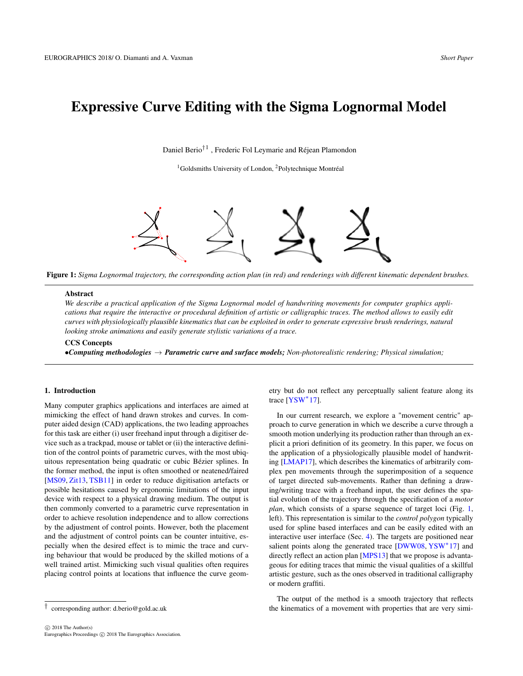# <span id="page-0-1"></span>Expressive Curve Editing with the Sigma Lognormal Model

Daniel Berio<sup>†1</sup>, Frederic Fol Leymarie and Réjean Plamondon

<sup>1</sup>Goldsmiths University of London, <sup>2</sup>Polytechnique Montréal



Figure 1: *Sigma Lognormal trajectory, the corresponding action plan (in red) and renderings with different kinematic dependent brushes.*

## <span id="page-0-0"></span>Abstract

*We describe a practical application of the Sigma Lognormal model of handwriting movements for computer graphics applications that require the interactive or procedural definition of artistic or calligraphic traces. The method allows to easily edit curves with physiologically plausible kinematics that can be exploited in order to generate expressive brush renderings, natural looking stroke animations and easily generate stylistic variations of a trace.*

CCS Concepts

•*Computing methodologies* → *Parametric curve and surface models; Non-photorealistic rendering; Physical simulation;*

## 1. Introduction

Many computer graphics applications and interfaces are aimed at mimicking the effect of hand drawn strokes and curves. In computer aided design (CAD) applications, the two leading approaches for this task are either (i) user freehand input through a digitiser device such as a trackpad, mouse or tablet or (ii) the interactive definition of the control points of parametric curves, with the most ubiquitous representation being quadratic or cubic Bézier splines. In the former method, the input is often smoothed or neatened/faired [\[MS09,](#page-3-0) [Zit13,](#page-3-1) [TSB11\]](#page-3-2) in order to reduce digitisation artefacts or possible hesitations caused by ergonomic limitations of the input device with respect to a physical drawing medium. The output is then commonly converted to a parametric curve representation in order to achieve resolution independence and to allow corrections by the adjustment of control points. However, both the placement and the adjustment of control points can be counter intuitive, especially when the desired effect is to mimic the trace and curving behaviour that would be produced by the skilled motions of a well trained artist. Mimicking such visual qualities often requires placing control points at locations that influence the curve geometry but do not reflect any perceptually salient feature along its trace [\[YSW](#page-3-3)<sup>∗</sup> 17].

In our current research, we explore a "movement centric" approach to curve generation in which we describe a curve through a smooth motion underlying its production rather than through an explicit a priori definition of its geometry. In this paper, we focus on the application of a physiologically plausible model of handwriting [\[LMAP17\]](#page-3-4), which describes the kinematics of arbitrarily complex pen movements through the superimposition of a sequence of target directed sub-movements. Rather than defining a drawing/writing trace with a freehand input, the user defines the spatial evolution of the trajectory through the specification of a *motor plan*, which consists of a sparse sequence of target loci (Fig. [1,](#page-0-0) left). This representation is similar to the *control polygon* typically used for spline based interfaces and can be easily edited with an interactive user interface (Sec. [4\)](#page-2-0). The targets are positioned near salient points along the generated trace [\[DWW08,](#page-3-5) [YSW](#page-3-3)<sup>\*</sup>17] and directly reflect an action plan [\[MPS13\]](#page-3-6) that we propose is advantageous for editing traces that mimic the visual qualities of a skillful artistic gesture, such as the ones observed in traditional calligraphy or modern graffiti.

The output of the method is a smooth trajectory that reflects the kinematics of a movement with properties that are very simi-

<sup>†</sup> corresponding author: d.berio@gold.ac.uk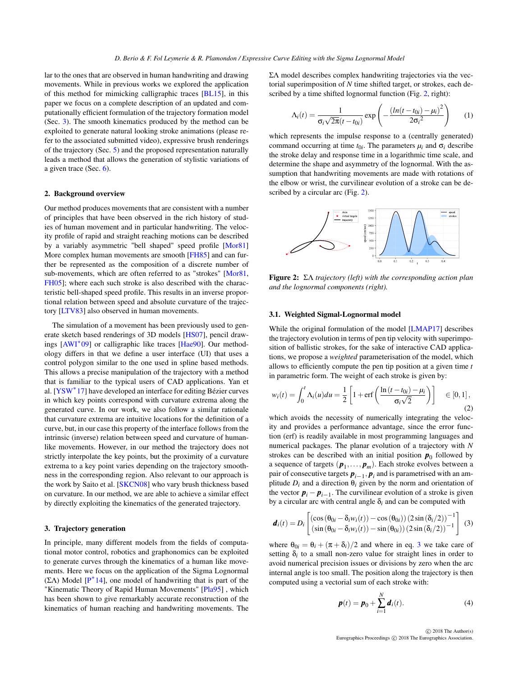<span id="page-1-3"></span>lar to the ones that are observed in human handwriting and drawing movements. While in previous works we explored the application of this method for mimicking calligraphic traces [\[BL15\]](#page-3-7), in this paper we focus on a complete description of an updated and computationally efficient formulation of the trajectory formation model (Sec. [3\)](#page-1-0). The smooth kinematics produced by the method can be exploited to generate natural looking stroke animations (please refer to the associated submitted video), expressive brush renderings of the trajectory (Sec. [5\)](#page-2-1) and the proposed representation naturally leads a method that allows the generation of stylistic variations of a given trace (Sec. [6\)](#page-3-8).

#### 2. Background overview

Our method produces movements that are consistent with a number of principles that have been observed in the rich history of studies of human movement and in particular handwriting. The velocity profile of rapid and straight reaching motions can be described by a variably asymmetric "bell shaped" speed profile [\[Mor81\]](#page-3-9) More complex human movements are smooth [\[FH85\]](#page-3-10) and can further be represented as the composition of a discrete number of sub-movements, which are often referred to as "strokes" [\[Mor81,](#page-3-9) [FH05\]](#page-3-11); where each such stroke is also described with the characteristic bell-shaped speed profile. This results in an inverse proportional relation between speed and absolute curvature of the trajectory [\[LTV83\]](#page-3-12) also observed in human movements.

The simulation of a movement has been previously used to generate sketch based renderings of 3D models [\[HS07\]](#page-3-13), pencil draw-ings [\[AWI](#page-3-14)<sup>\*</sup>09] or calligraphic like traces [\[Hae90\]](#page-3-15). Our methodology differs in that we define a user interface (UI) that uses a control polygon similar to the one used in spline based methods. This allows a precise manipulation of the trajectory with a method that is familiar to the typical users of CAD applications. Yan et al. [\[YSW](#page-3-3)<sup>∗</sup> 17] have developed an interface for editing Bézier curves in which key points correspond with curvature extrema along the generated curve. In our work, we also follow a similar rationale that curvature extrema are intuitive locations for the definition of a curve, but, in our case this property of the interface follows from the intrinsic (inverse) relation between speed and curvature of humanlike movements. However, in our method the trajectory does not strictly interpolate the key points, but the proximity of a curvature extrema to a key point varies depending on the trajectory smoothness in the corresponding region. Also relevant to our approach is the work by Saito et al. [\[SKCN08\]](#page-3-16) who vary brush thickness based on curvature. In our method, we are able to achieve a similar effect by directly exploiting the kinematics of the generated trajectory.

## <span id="page-1-0"></span>3. Trajectory generation

In principle, many different models from the fields of computational motor control, robotics and graphonomics can be exploited to generate curves through the kinematics of a human like movements. Here we focus on the application of the Sigma Lognormal (ΣΛ) Model [ $P^*$ [14\]](#page-3-17), one model of handwriting that is part of the "Kinematic Theory of Rapid Human Movements" [\[Pla95\]](#page-3-18), which has been shown to give remarkably accurate reconstruction of the kinematics of human reaching and handwriting movements. The ΣΛ model describes complex handwriting trajectories via the vectorial superimposition of *N* time shifted target, or strokes, each described by a time shifted lognormal function (Fig. [2,](#page-1-1) right):

$$
\Lambda_i(t) = \frac{1}{\sigma_i \sqrt{2\pi} (t - t_{0i})} \exp\left(-\frac{\left(ln(t - t_{0i}) - \mu_i\right)^2}{2\sigma_i^2}\right) \tag{1}
$$

which represents the impulse response to a (centrally generated) command occurring at time  $t_{0i}$ . The parameters  $\mu_i$  and  $\sigma_i$  describe the stroke delay and response time in a logarithmic time scale, and determine the shape and asymmetry of the lognormal. With the assumption that handwriting movements are made with rotations of the elbow or wrist, the curvilinear evolution of a stroke can be described by a circular arc (Fig. [2\)](#page-1-1).



<span id="page-1-1"></span>Figure 2: ΣΛ *trajectory (left) with the corresponding action plan and the lognormal components (right).*

## 3.1. Weighted Sigmal-Lognormal model

While the original formulation of the model [\[LMAP17\]](#page-3-4) describes the trajectory evolution in terms of pen tip velocity with superimposition of ballistic strokes, for the sake of interactive CAD applications, we propose a *weighted* parameterisation of the model, which allows to efficiently compute the pen tip position at a given time *t* in parametric form. The weight of each stroke is given by:

$$
w_i(t) = \int_0^t \Lambda_i(u) du = \frac{1}{2} \left[ 1 + \text{erf}\left( \frac{\ln(t - t_{0i}) - \mu_i}{\sigma_i \sqrt{2}} \right) \right] \quad \in [0, 1],
$$
\n(2)

which avoids the necessity of numerically integrating the velocity and provides a performance advantage, since the error function (erf) is readily available in most programming languages and numerical packages. The planar evolution of a trajectory with *N* strokes can be described with an initial position  $p_0$  followed by a sequence of targets  $(\boldsymbol{p}_1, \ldots, \boldsymbol{p}_m)$ . Each stroke evolves between a pair of consecutive targets  $p_{i-1}, p_i$  and is parametrised with an amplitude  $D_i$  and a direction  $\theta_i$  given by the norm and orientation of the vector  $p_i - p_{i-1}$ . The curvilinear evolution of a stroke is given by a circular arc with central angle  $\delta_i$  and can be computed with

$$
\boldsymbol{d}_i(t) = D_i \begin{bmatrix} (\cos(\theta_{0i} - \delta_i w_i(t)) - \cos(\theta_{0i})) (2\sin(\delta_i/2))^{-1} \\ (\sin(\theta_{0i} - \delta_i w_i(t)) - \sin(\theta_{0i})) (2\sin(\delta_i/2))^{-1} \end{bmatrix}
$$
(3)

where  $\theta_{0i} = \theta_i + (\pi + \delta_i)/2$  and where in eq. [3](#page-1-2) we take care of setting  $\delta_i$  to a small non-zero value for straight lines in order to avoid numerical precision issues or divisions by zero when the arc internal angle is too small. The position along the trajectory is then computed using a vectorial sum of each stroke with:

<span id="page-1-2"></span>
$$
p(t) = p_0 + \sum_{i=1}^{N} d_i(t).
$$
 (4)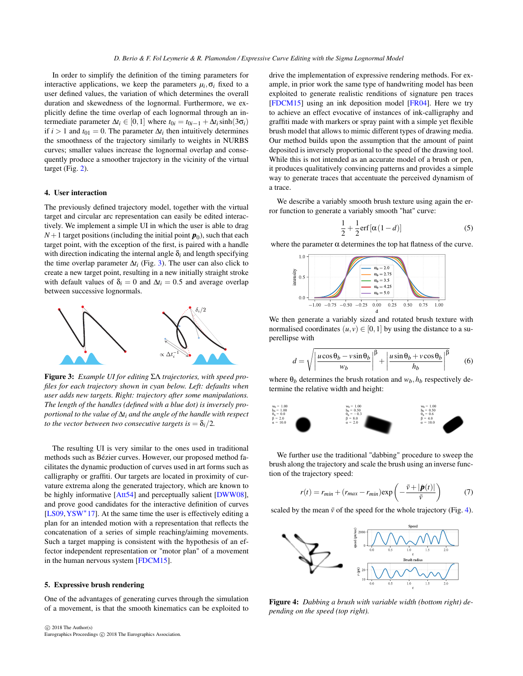<span id="page-2-4"></span>In order to simplify the definition of the timing parameters for interactive applications, we keep the parameters  $\mu_i$ ,  $\sigma_i$  fixed to a user defined values, the variation of which determines the overall duration and skewedness of the lognormal. Furthermore, we explicitly define the time overlap of each lognormal through an intermediate parameter  $\Delta t_i \in [0,1]$  where  $t_{0i} = t_{0i-1} + \Delta t_i \sinh(3\sigma_i)$ if *i* > 1 and  $t_{01} = 0$ . The parameter  $\Delta t_i$  then intuitively determines the smoothness of the trajectory similarly to weights in NURBS curves; smaller values increase the lognormal overlap and consequently produce a smoother trajectory in the vicinity of the virtual target (Fig. [2\)](#page-1-1).

## <span id="page-2-0"></span>4. User interaction

The previously defined trajectory model, together with the virtual target and circular arc representation can easily be edited interactively. We implement a simple UI in which the user is able to drag  $N+1$  target positions (including the initial point  $\boldsymbol{p}_0$ ), such that each target point, with the exception of the first, is paired with a handle with direction indicating the internal angle  $\delta_i$  and length specifying the time overlap parameter  $\Delta t_i$  (Fig. [3\)](#page-2-2). The user can also click to create a new target point, resulting in a new initially straight stroke with default values of  $\delta_i = 0$  and  $\Delta t_i = 0.5$  and average overlap between successive lognormals.



<span id="page-2-2"></span>Figure 3: *Example UI for editing* ΣΛ *trajectories, with speed profiles for each trajectory shown in cyan below. Left: defaults when user adds new targets. Right: trajectory after some manipulations. The length of the handles (defined with a blue dot) is inversely proportional to the value of* ∆*ti and the angle of the handle with respect to the vector between two consecutive targets is*  $= \delta_i/2$ *.* 

The resulting UI is very similar to the ones used in traditional methods such as Bézier curves. However, our proposed method facilitates the dynamic production of curves used in art forms such as calligraphy or graffiti. Our targets are located in proximity of curvature extrema along the generated trajectory, which are known to be highly informative [\[Att54\]](#page-3-19) and perceptually salient [\[DWW08\]](#page-3-5), and prove good candidates for the interactive definition of curves [\[LS09,](#page-3-20) [YSW](#page-3-3)<sup>∗</sup>17]. At the same time the user is effectively editing a plan for an intended motion with a representation that reflects the concatenation of a series of simple reaching/aiming movements. Such a target mapping is consistent with the hypothesis of an effector independent representation or "motor plan" of a movement in the human nervous system [\[FDCM15\]](#page-3-21).

#### <span id="page-2-1"></span>5. Expressive brush rendering

One of the advantages of generating curves through the simulation of a movement, is that the smooth kinematics can be exploited to drive the implementation of expressive rendering methods. For example, in prior work the same type of handwriting model has been exploited to generate realistic renditions of signature pen traces [\[FDCM15\]](#page-3-21) using an ink deposition model [\[FR04\]](#page-3-22). Here we try to achieve an effect evocative of instances of ink-calligraphy and graffiti made with markers or spray paint with a simple yet flexible brush model that allows to mimic different types of drawing media. Our method builds upon the assumption that the amount of paint deposited is inversely proportional to the speed of the drawing tool. While this is not intended as an accurate model of a brush or pen, it produces qualitatively convincing patterns and provides a simple way to generate traces that accentuate the perceived dynamism of a trace.

We describe a variably smooth brush texture using again the error function to generate a variably smooth "hat" curve:

$$
\frac{1}{2} + \frac{1}{2} \text{erf} \left[ \alpha \left( 1 - d \right) \right] \tag{5}
$$

where the parameter  $\alpha$  determines the top hat flatness of the curve.



We then generate a variably sized and rotated brush texture with normalised coordinates  $(u, v) \in [0, 1]$  by using the distance to a superellipse with

$$
d = \sqrt{\left| \frac{u\cos\theta_b - v\sin\theta_b}{w_b} \right|^{\beta} + \left| \frac{u\sin\theta_b + v\cos\theta_b}{h_b} \right|^{\beta}}
$$
(6)

where  $\theta_b$  determines the brush rotation and  $w_b$ ,  $h_b$  respectively determine the relative width and height:



We further use the traditional "dabbing" procedure to sweep the brush along the trajectory and scale the brush using an inverse function of the trajectory speed:

$$
r(t) = r_{min} + (r_{max} - r_{min}) \exp\left(-\frac{\bar{v} + |\dot{\boldsymbol{p}}(t)|}{\bar{v}}\right) \tag{7}
$$

scaled by the mean  $\bar{v}$  of the speed for the whole trajectory (Fig. [4\)](#page-2-3).



<span id="page-2-3"></span>Figure 4: *Dabbing a brush with variable width (bottom right) depending on the speed (top right).*